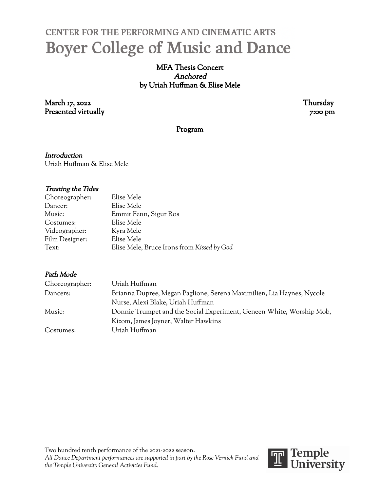# CENTER FOR THE PERFORMING AND CINEMATIC ARTS **Boyer College of Music and Dance**

## MFA Thesis Concert Anchored by Uriah Huffman & Elise Mele

March 17, 2022 Thursday Presented virtually 7:00 pm

### Program

**Introduction** Uriah Huffman & Elise Mele

#### Trusting the Tides

| Elise Mele                                 |
|--------------------------------------------|
| Elise Mele                                 |
| Emmit Fenn, Sigur Ros                      |
| Elise Mele                                 |
| Kyra Mele                                  |
| Elise Mele                                 |
| Elise Mele, Bruce Irons from Kissed by God |
|                                            |

### Path Mode

| Choreographer: | Uriah Huffman                                                         |
|----------------|-----------------------------------------------------------------------|
| Dancers:       | Brianna Dupree, Megan Paglione, Serena Maximilien, Lia Haynes, Nycole |
|                | Nurse, Alexi Blake, Uriah Huffman                                     |
| Music:         | Donnie Trumpet and the Social Experiment, Geneen White, Worship Mob,  |
|                | Kizom, James Joyner, Walter Hawkins                                   |
| Costumes:      | Uriah Huffman                                                         |

Two hundred tenth performance of the 2021-2022 season. *All Dance Department performances are supported in part by the Rose Vernick Fund and the Temple University General Activities Fund.*